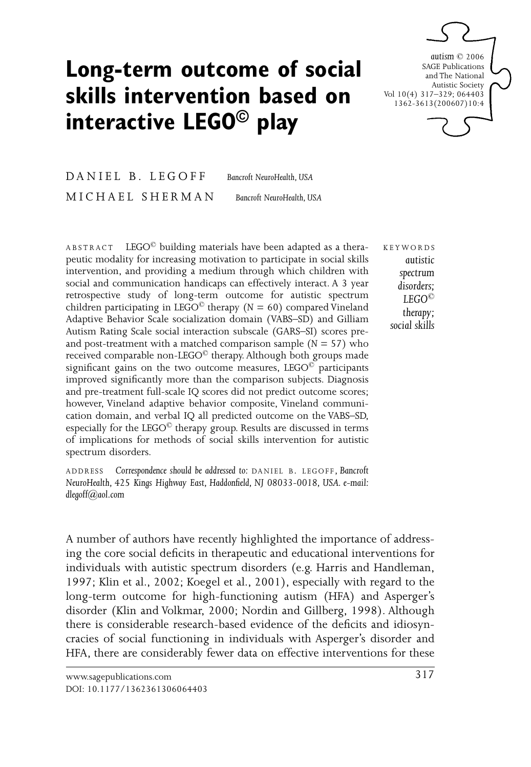# **Long-term outcome of social skills intervention based on interactive LEGO© play**



DANIEL B. LEGOFF *Bancroft NeuroHealth, USA* MICHAEL SHERMAN *Bancroft NeuroHealth, USA*

ABSTRACT LEGO<sup>©</sup> building materials have been adapted as a therapeutic modality for increasing motivation to participate in social skills intervention, and providing a medium through which children with social and communication handicaps can effectively interact. A 3 year retrospective study of long-term outcome for autistic spectrum children participating in LEGO<sup>©</sup> therapy ( $N = 60$ ) compared Vineland Adaptive Behavior Scale socialization domain (VABS–SD) and Gilliam Autism Rating Scale social interaction subscale (GARS–SI) scores preand post-treatment with a matched comparison sample  $(N = 57)$  who received comparable non-LEGO© therapy. Although both groups made significant gains on the two outcome measures, LEGO© participants improved significantly more than the comparison subjects. Diagnosis and pre-treatment full-scale IQ scores did not predict outcome scores; however, Vineland adaptive behavior composite, Vineland communication domain, and verbal IQ all predicted outcome on the VABS–SD, especially for the LEGO© therapy group. Results are discussed in terms of implications for methods of social skills intervention for autistic spectrum disorders.

ADDRESS *Correspondence should be addressed to:* DANIEL B. LEGOFF *, Bancroft NeuroHealth, 425 Kings Highway East, Haddonfield, NJ 08033-0018, USA. e-mail: dlegoff@aol.com*

KEYWORDS *autistic spectrum disorders; LEGO© therapy; social skills*

A number of authors have recently highlighted the importance of addressing the core social deficits in therapeutic and educational interventions for individuals with autistic spectrum disorders (e.g. Harris and Handleman, 1997; Klin et al., 2002; Koegel et al., 2001), especially with regard to the long-term outcome for high-functioning autism (HFA) and Asperger's disorder (Klin and Volkmar, 2000; Nordin and Gillberg, 1998). Although there is considerable research-based evidence of the deficits and idiosyncracies of social functioning in individuals with Asperger's disorder and HFA, there are considerably fewer data on effective interventions for these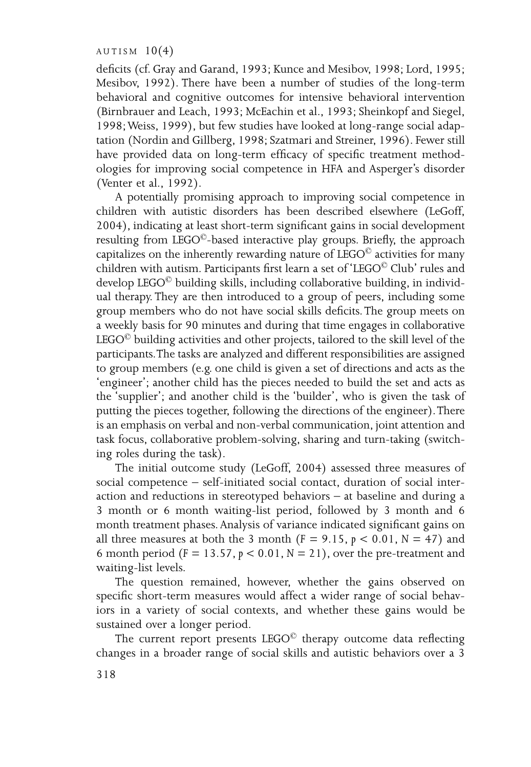deficits (cf. Gray and Garand, 1993; Kunce and Mesibov, 1998; Lord, 1995; Mesibov, 1992). There have been a number of studies of the long-term behavioral and cognitive outcomes for intensive behavioral intervention (Birnbrauer and Leach, 1993; McEachin et al., 1993; Sheinkopf and Siegel, 1998;Weiss, 1999), but few studies have looked at long-range social adaptation (Nordin and Gillberg, 1998; Szatmari and Streiner, 1996). Fewer still have provided data on long-term efficacy of specific treatment methodologies for improving social competence in HFA and Asperger's disorder (Venter et al., 1992).

A potentially promising approach to improving social competence in children with autistic disorders has been described elsewhere (LeGoff, 2004), indicating at least short-term significant gains in social development resulting from LEGO©-based interactive play groups. Briefly, the approach capitalizes on the inherently rewarding nature of LEGO© activities for many children with autism. Participants first learn a set of 'LEGO© Club' rules and develop LEGO© building skills, including collaborative building, in individual therapy. They are then introduced to a group of peers, including some group members who do not have social skills deficits. The group meets on a weekly basis for 90 minutes and during that time engages in collaborative LEGO© building activities and other projects, tailored to the skill level of the participants.The tasks are analyzed and different responsibilities are assigned to group members (e.g. one child is given a set of directions and acts as the 'engineer'; another child has the pieces needed to build the set and acts as the 'supplier'; and another child is the 'builder', who is given the task of putting the pieces together, following the directions of the engineer).There is an emphasis on verbal and non-verbal communication, joint attention and task focus, collaborative problem-solving, sharing and turn-taking (switching roles during the task).

The initial outcome study (LeGoff, 2004) assessed three measures of social competence – self-initiated social contact, duration of social interaction and reductions in stereotyped behaviors – at baseline and during a 3 month or 6 month waiting-list period, followed by 3 month and 6 month treatment phases. Analysis of variance indicated significant gains on all three measures at both the 3 month ( $F = 9.15$ ,  $p < 0.01$ ,  $N = 47$ ) and 6 month period ( $F = 13.57$ ,  $p < 0.01$ ,  $N = 21$ ), over the pre-treatment and waiting-list levels.

The question remained, however, whether the gains observed on specific short-term measures would affect a wider range of social behaviors in a variety of social contexts, and whether these gains would be sustained over a longer period.

The current report presents LEGO<sup>©</sup> therapy outcome data reflecting changes in a broader range of social skills and autistic behaviors over a 3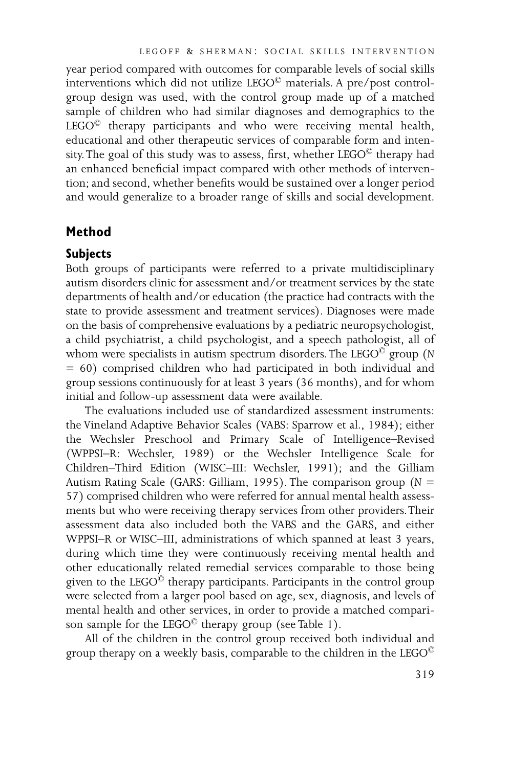year period compared with outcomes for comparable levels of social skills interventions which did not utilize LEGO© materials. A pre/post controlgroup design was used, with the control group made up of a matched sample of children who had similar diagnoses and demographics to the LEGO<sup>©</sup> therapy participants and who were receiving mental health, educational and other therapeutic services of comparable form and intensity.The goal of this study was to assess, first, whether LEGO© therapy had an enhanced beneficial impact compared with other methods of intervention; and second, whether benefits would be sustained over a longer period and would generalize to a broader range of skills and social development.

## **Method**

#### **Subjects**

Both groups of participants were referred to a private multidisciplinary autism disorders clinic for assessment and/or treatment services by the state departments of health and/or education (the practice had contracts with the state to provide assessment and treatment services). Diagnoses were made on the basis of comprehensive evaluations by a pediatric neuropsychologist, a child psychiatrist, a child psychologist, and a speech pathologist, all of whom were specialists in autism spectrum disorders. The LEGO<sup>®</sup> group (*N* = 60) comprised children who had participated in both individual and group sessions continuously for at least 3 years (36 months), and for whom initial and follow-up assessment data were available.

The evaluations included use of standardized assessment instruments: the Vineland Adaptive Behavior Scales (VABS: Sparrow et al., 1984); either the Wechsler Preschool and Primary Scale of Intelligence–Revised (WPPSI–R: Wechsler, 1989) or the Wechsler Intelligence Scale for Children–Third Edition (WISC–III: Wechsler, 1991); and the Gilliam Autism Rating Scale (GARS: Gilliam, 1995). The comparison group (*N* = 57) comprised children who were referred for annual mental health assessments but who were receiving therapy services from other providers.Their assessment data also included both the VABS and the GARS, and either WPPSI–R or WISC–III, administrations of which spanned at least 3 years, during which time they were continuously receiving mental health and other educationally related remedial services comparable to those being given to the LEGO© therapy participants. Participants in the control group were selected from a larger pool based on age, sex, diagnosis, and levels of mental health and other services, in order to provide a matched comparison sample for the LEGO<sup>©</sup> therapy group (see Table 1).

All of the children in the control group received both individual and group therapy on a weekly basis, comparable to the children in the LEGO©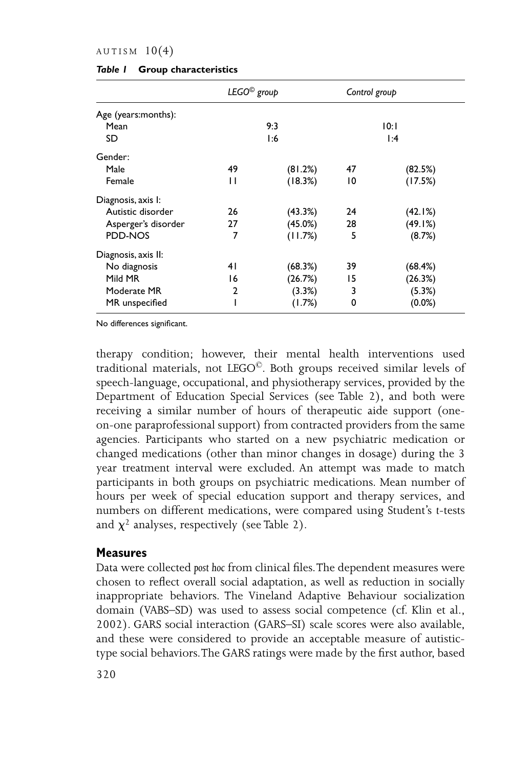|                     | LEGO <sup>®</sup> group |            | Control group |           |  |
|---------------------|-------------------------|------------|---------------|-----------|--|
| Age (years:months): |                         |            |               |           |  |
| Mean                |                         | 9:3        |               | 10:1      |  |
| SD                  |                         | 1:6        |               | 1:4       |  |
| Gender:             |                         |            |               |           |  |
| Male                | 49                      | (81.2%)    | 47            | (82.5%)   |  |
| Female              | П                       | (18.3%)    | 10            | (17.5%)   |  |
| Diagnosis, axis I:  |                         |            |               |           |  |
| Autistic disorder   | 26                      | (43.3%)    | 24            | (42.1%)   |  |
| Asperger's disorder | 27                      | $(45.0\%)$ | 28            | (49.1%)   |  |
| PDD-NOS             | 7                       | (11.7%)    | 5             | (8.7%)    |  |
| Diagnosis, axis II: |                         |            |               |           |  |
| No diagnosis        | 41                      | (68.3%)    | 39            | (68.4%)   |  |
| Mild MR             | 16                      | (26.7%)    | 15            | (26.3%)   |  |
| Moderate MR         | $\overline{2}$          | (3.3%)     | 3             | (5.3%)    |  |
| MR unspecified      | ı                       | (1.7%)     | 0             | $(0.0\%)$ |  |

#### *Table 1* **Group characteristics**

No differences significant.

therapy condition; however, their mental health interventions used traditional materials, not LEGO©. Both groups received similar levels of speech-language, occupational, and physiotherapy services, provided by the Department of Education Special Services (see Table 2), and both were receiving a similar number of hours of therapeutic aide support (oneon-one paraprofessional support) from contracted providers from the same agencies. Participants who started on a new psychiatric medication or changed medications (other than minor changes in dosage) during the 3 year treatment interval were excluded. An attempt was made to match participants in both groups on psychiatric medications. Mean number of hours per week of special education support and therapy services, and numbers on different medications, were compared using Student's *t*-tests and  $\chi^2$  analyses, respectively (see Table 2).

#### **Measures**

Data were collected *post hoc* from clinical files.The dependent measures were chosen to reflect overall social adaptation, as well as reduction in socially inappropriate behaviors. The Vineland Adaptive Behaviour socialization domain (VABS–SD) was used to assess social competence (cf. Klin et al., 2002). GARS social interaction (GARS–SI) scale scores were also available, and these were considered to provide an acceptable measure of autistictype social behaviors.The GARS ratings were made by the first author, based

320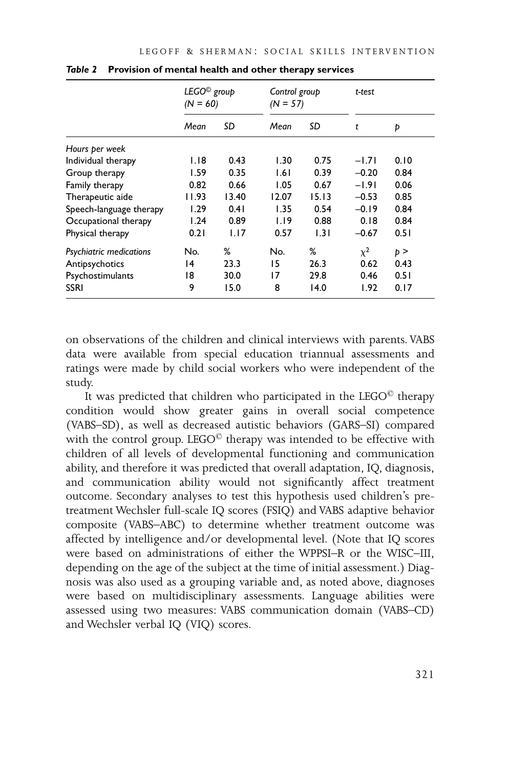|                         | LEGO <sup>®</sup> group<br>$(N = 60)$ |       |       | Control group<br>$(N = 57)$ |         | t-test |  |
|-------------------------|---------------------------------------|-------|-------|-----------------------------|---------|--------|--|
|                         | Mean                                  | SD    | Mean  | SD                          | t       | Þ      |  |
| Hours per week          |                                       |       |       |                             |         |        |  |
| Individual therapy      | 1.18                                  | 0.43  | 1.30  | 0.75                        | $-1.71$ | 0.10   |  |
| Group therapy           | 1.59                                  | 0.35  | 1.61  | 0.39                        | $-0.20$ | 0.84   |  |
| Family therapy          | 0.82                                  | 0.66  | 1.05  | 0.67                        | $-1.91$ | 0.06   |  |
| Therapeutic aide        | 11.93                                 | 13.40 | 12.07 | 15.13                       | $-0.53$ | 0.85   |  |
| Speech-language therapy | 1.29                                  | 0.41  | 1.35  | 0.54                        | $-0.19$ | 0.84   |  |
| Occupational therapy    | 1.24                                  | 0.89  | 1.19  | 0.88                        | 0.18    | 0.84   |  |
| Physical therapy        | 0.21                                  | 1.17  | 0.57  | 1.31                        | $-0.67$ | 0.51   |  |
| Psychiatric medications | No.                                   | ℅     | No.   | ℅                           | $x^2$   | p >    |  |
| Antipsychotics          | 14                                    | 23.3  | 15    | 26.3                        | 0.62    | 0.43   |  |
| Psychostimulants        | 18                                    | 30.0  | 17    | 29.8                        | 0.46    | 0.51   |  |
| <b>SSRI</b>             | 9                                     | 15.0  | 8     | 14.0                        | 1.92    | 0.17   |  |

*Table 2* **Provision of mental health and other therapy services**

on observations of the children and clinical interviews with parents. VABS data were available from special education triannual assessments and ratings were made by child social workers who were independent of the study.

It was predicted that children who participated in the LEGO© therapy condition would show greater gains in overall social competence (VABS–SD), as well as decreased autistic behaviors (GARS–SI) compared with the control group. LEGO<sup>©</sup> therapy was intended to be effective with children of all levels of developmental functioning and communication ability, and therefore it was predicted that overall adaptation, IQ, diagnosis, and communication ability would not significantly affect treatment outcome. Secondary analyses to test this hypothesis used children's pretreatment Wechsler full-scale IQ scores (FSIQ) and VABS adaptive behavior composite (VABS–ABC) to determine whether treatment outcome was affected by intelligence and/or developmental level. (Note that IQ scores were based on administrations of either the WPPSI–R or the WISC–III, depending on the age of the subject at the time of initial assessment.) Diagnosis was also used as a grouping variable and, as noted above, diagnoses were based on multidisciplinary assessments. Language abilities were assessed using two measures: VABS communication domain (VABS–CD) and Wechsler verbal IQ (VIQ) scores.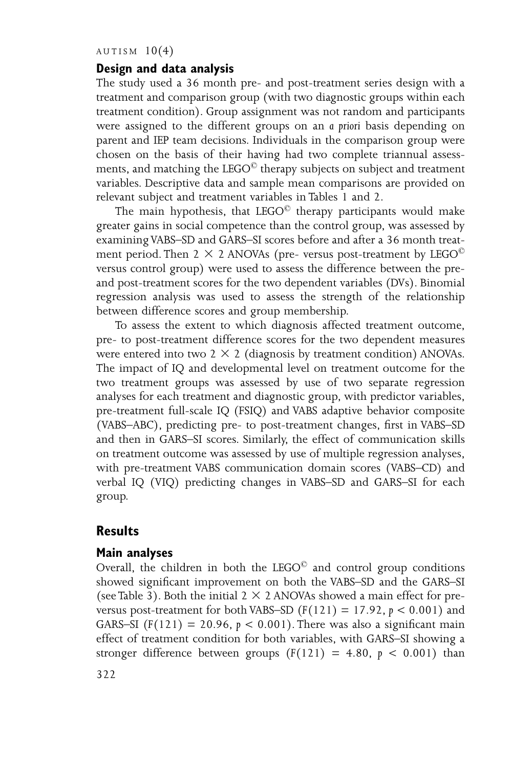### **Design and data analysis**

The study used a 36 month pre- and post-treatment series design with a treatment and comparison group (with two diagnostic groups within each treatment condition). Group assignment was not random and participants were assigned to the different groups on an *a priori* basis depending on parent and IEP team decisions. Individuals in the comparison group were chosen on the basis of their having had two complete triannual assessments, and matching the LEGO© therapy subjects on subject and treatment variables. Descriptive data and sample mean comparisons are provided on relevant subject and treatment variables in Tables 1 and 2.

The main hypothesis, that LEGO© therapy participants would make greater gains in social competence than the control group, was assessed by examining VABS–SD and GARS–SI scores before and after a 36 month treatment period. Then 2  $\times$  2 ANOVAs (pre- versus post-treatment by LEGO $^\copyright$ versus control group) were used to assess the difference between the preand post-treatment scores for the two dependent variables (DVs). Binomial regression analysis was used to assess the strength of the relationship between difference scores and group membership.

To assess the extent to which diagnosis affected treatment outcome, pre- to post-treatment difference scores for the two dependent measures were entered into two 2  $\times$  2 (diagnosis by treatment condition) ANOVAs. The impact of IQ and developmental level on treatment outcome for the two treatment groups was assessed by use of two separate regression analyses for each treatment and diagnostic group, with predictor variables, pre-treatment full-scale IQ (FSIQ) and VABS adaptive behavior composite (VABS–ABC), predicting pre- to post-treatment changes, first in VABS–SD and then in GARS–SI scores. Similarly, the effect of communication skills on treatment outcome was assessed by use of multiple regression analyses, with pre-treatment VABS communication domain scores (VABS–CD) and verbal IQ (VIQ) predicting changes in VABS–SD and GARS–SI for each group.

# **Results**

#### **Main analyses**

Overall, the children in both the LEGO© and control group conditions showed significant improvement on both the VABS–SD and the GARS–SI (see Table 3). Both the initial  $2 \times 2$  ANOVAs showed a main effect for preversus post-treatment for both VABS–SD  $(F(121) = 17.92, p < 0.001)$  and GARS–SI  $(F(121) = 20.96, p < 0.001)$ . There was also a significant main effect of treatment condition for both variables, with GARS–SI showing a stronger difference between groups  $(F(121) = 4.80, p < 0.001)$  than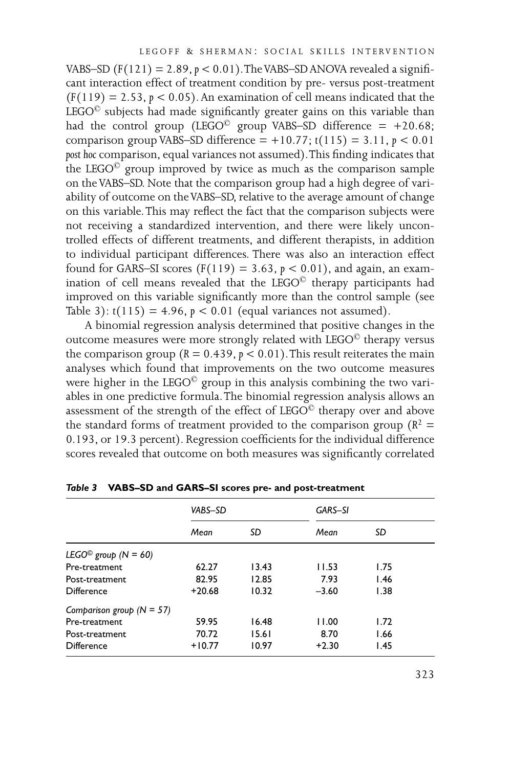VABS–SD (*F*(121) = 2.89,*p* < 0.01).The VABS–SD ANOVA revealed a significant interaction effect of treatment condition by pre- versus post-treatment  $(F(119) = 2.53, p < 0.05)$ . An examination of cell means indicated that the LEGO<sup>®</sup> subjects had made significantly greater gains on this variable than had the control group (LEGO<sup>©</sup> group VABS–SD difference = +20.68; comparison group VABS–SD difference =  $+10.77$ ; *t*(115) = 3.11, *p* < 0.01 *post hoc* comparison, equal variances not assumed).This finding indicates that the LEGO© group improved by twice as much as the comparison sample on the VABS–SD. Note that the comparison group had a high degree of variability of outcome on the VABS–SD, relative to the average amount of change on this variable.This may reflect the fact that the comparison subjects were not receiving a standardized intervention, and there were likely uncontrolled effects of different treatments, and different therapists, in addition to individual participant differences. There was also an interaction effect found for GARS–SI scores (*F*(119) = 3.63, *p* < 0.01), and again, an examination of cell means revealed that the LEGO $^\copyright$  therapy participants had improved on this variable significantly more than the control sample (see Table 3):  $t(115) = 4.96$ ,  $p < 0.01$  (equal variances not assumed).

A binomial regression analysis determined that positive changes in the outcome measures were more strongly related with LEGO© therapy versus the comparison group ( $R = 0.439$ ,  $p < 0.01$ ). This result reiterates the main analyses which found that improvements on the two outcome measures were higher in the LEGO<sup>©</sup> group in this analysis combining the two variables in one predictive formula.The binomial regression analysis allows an assessment of the strength of the effect of LEGO© therapy over and above the standard forms of treatment provided to the comparison group  $(R^2 =$ 0.193, or 19.3 percent). Regression coefficients for the individual difference scores revealed that outcome on both measures was significantly correlated

|                                             | VABS-SD  |       |         |      |
|---------------------------------------------|----------|-------|---------|------|
|                                             | Mean     | SD    | Mean    | SD   |
| LEGO <sup><i>©</i></sup> group ( $N = 60$ ) |          |       |         |      |
| Pre-treatment                               | 62.27    | 13.43 | 11.53   | 1.75 |
| Post-treatment                              | 82.95    | 12.85 | 7.93    | 1.46 |
| <b>Difference</b>                           | $+20.68$ | 10.32 | $-3.60$ | 1.38 |
| Comparison group ( $N = 57$ )               |          |       |         |      |
| Pre-treatment                               | 59.95    | 16.48 | 11.00   | 1.72 |
| Post-treatment                              | 70.72    | 15.61 | 8.70    | 1.66 |
| Difference                                  | $+10.77$ | 10.97 | $+2.30$ | 1.45 |

*Table 3* **VABS–SD and GARS–SI scores pre- and post-treatment**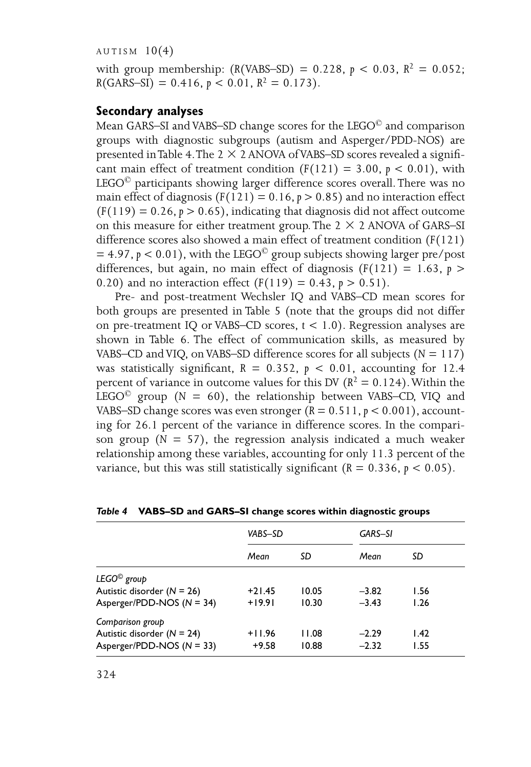with group membership:  $(R(VABS-SD) = 0.228, p < 0.03, R^2 = 0.052;$  $R(GARS-SI) = 0.416$ ,  $p < 0.01$ ,  $R^2 = 0.173$ ).

### **Secondary analyses**

Mean GARS–SI and VABS–SD change scores for the LEGO© and comparison groups with diagnostic subgroups (autism and Asperger/PDD-NOS) are presented in Table 4. The 2  $\times$  2 ANOVA of VABS–SD scores revealed a significant main effect of treatment condition  $(F(121) = 3.00, p < 0.01)$ , with LEGO© participants showing larger difference scores overall. There was no main effect of diagnosis  $(F(121) = 0.16, p > 0.85)$  and no interaction effect  $(F(119) = 0.26, p > 0.65)$ , indicating that diagnosis did not affect outcome on this measure for either treatment group. The 2  $\times$  2 ANOVA of GARS–SI difference scores also showed a main effect of treatment condition (*F*(121)  $= 4.97$ ,  $p < 0.01$ ), with the LEGO<sup>©</sup> group subjects showing larger pre/post differences, but again, no main effect of diagnosis  $(F(121) = 1.63, p >$ 0.20) and no interaction effect  $(F(119) = 0.43, p > 0.51)$ .

Pre- and post-treatment Wechsler IQ and VABS–CD mean scores for both groups are presented in Table 5 (note that the groups did not differ on pre-treatment IQ or VABS–CD scores, *t* < 1.0). Regression analyses are shown in Table 6. The effect of communication skills, as measured by VABS–CD and VIQ, on VABS–SD difference scores for all subjects  $(N = 117)$ was statistically significant,  $R = 0.352$ ,  $p < 0.01$ , accounting for 12.4 percent of variance in outcome values for this DV ( $R^2 = 0.124$ ). Within the LEGO<sup>©</sup> group ( $N = 60$ ), the relationship between VABS–CD, VIQ and VABS–SD change scores was even stronger (*R* = 0.511,*p* < 0.001), accounting for 26.1 percent of the variance in difference scores. In the comparison group ( $N = 57$ ), the regression analysis indicated a much weaker relationship among these variables, accounting for only 11.3 percent of the variance, but this was still statistically significant  $(R = 0.336, p < 0.05)$ .

|                                | VABS-SD  |       | GARS-SI |      |  |
|--------------------------------|----------|-------|---------|------|--|
|                                | Mean     | SD    | Mean    | SD   |  |
| $LEGO^{\odot}$ group           |          |       |         |      |  |
| Autistic disorder ( $N = 26$ ) | $+21.45$ | 10.05 | $-3.82$ | 1.56 |  |
| Asperger/PDD-NOS $(N = 34)$    | $+19.91$ | 10.30 | $-3.43$ | 1.26 |  |
| Comparison group               |          |       |         |      |  |
| Autistic disorder ( $N = 24$ ) | $+11.96$ | 11.08 | $-2.29$ | 1.42 |  |
| Asperger/PDD-NOS $(N = 33)$    | $+9.58$  | 10.88 | $-2.32$ | 1.55 |  |

*Table 4* **VABS–SD and GARS–SI change scores within diagnostic groups**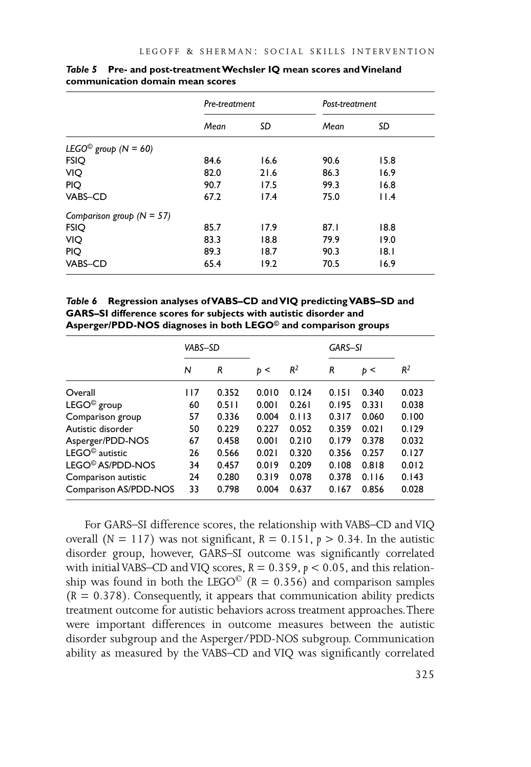|                                             | Pre-treatment |      | Post-treatment |      |  |
|---------------------------------------------|---------------|------|----------------|------|--|
|                                             | Mean          | SD   | Mean           | SD   |  |
| LEGO <sup><i>©</i></sup> group ( $N = 60$ ) |               |      |                |      |  |
| <b>FSIO</b>                                 | 84.6          | 16.6 | 90.6           | 15.8 |  |
| VIQ                                         | 82.0          | 21.6 | 86.3           | 16.9 |  |
| <b>PIO</b>                                  | 90.7          | 17.5 | 99.3           | 16.8 |  |
| VABS-CD                                     | 67.2          | 17.4 | 75.0           | 11.4 |  |
| Comparison group ( $N = 57$ )               |               |      |                |      |  |
| <b>FSIQ</b>                                 | 85.7          | 17.9 | 87.1           | 18.8 |  |
| VIQ                                         | 83.3          | 18.8 | 79.9           | 19.0 |  |
| PIQ                                         | 89.3          | 18.7 | 90.3           | 18.1 |  |
| <b>VABS-CD</b>                              | 65.4          | 19.2 | 70.5           | 16.9 |  |

|  | Table 5 Pre- and post-treatment Wechsler IQ mean scores and Vineland |  |  |
|--|----------------------------------------------------------------------|--|--|
|  | communication domain mean scores                                     |  |  |

*Table 6* **Regression analyses of VABS–CD and VIQ predicting VABS–SD and GARS–SI difference scores for subjects with autistic disorder and Asperger/PDD-NOS diagnoses in both LEGO© and comparison groups**

|                              | VABS-SD |       |       |       | GARS-SI |       |       |  |
|------------------------------|---------|-------|-------|-------|---------|-------|-------|--|
|                              | N       | R     | p <   | $R^2$ | R       | p <   | $R^2$ |  |
| Overall                      | 117     | 0.352 | 0.010 | 0.124 | 0.151   | 0.340 | 0.023 |  |
| LEGO <sup>©</sup> group      | 60      | 0.511 | 0.001 | 0.261 | 0.195   | 0.331 | 0.038 |  |
| Comparison group             | 57      | 0.336 | 0.004 | 0.113 | 0.317   | 0.060 | 0.100 |  |
| Autistic disorder            | 50      | 0.229 | 0.227 | 0.052 | 0.359   | 0.021 | 0.129 |  |
| Asperger/PDD-NOS             | 67      | 0.458 | 0.001 | 0.210 | 0.179   | 0.378 | 0.032 |  |
| $LEGO®$ autistic             | 26      | 0.566 | 0.021 | 0.320 | 0.356   | 0.257 | 0.127 |  |
| LEGO <sup>®</sup> AS/PDD-NOS | 34      | 0.457 | 0.019 | 0.209 | 0.108   | 0.818 | 0.012 |  |
| Comparison autistic          | 24      | 0.280 | 0.319 | 0.078 | 0.378   | 0.116 | 0.143 |  |
| Comparison AS/PDD-NOS        | 33      | 0.798 | 0.004 | 0.637 | 0.167   | 0.856 | 0.028 |  |

For GARS–SI difference scores, the relationship with VABS–CD and VIQ overall ( $N = 117$ ) was not significant,  $R = 0.151$ ,  $p > 0.34$ . In the autistic disorder group, however, GARS–SI outcome was significantly correlated with initial VABS–CD and VIQ scores,  $R = 0.359$ ,  $p < 0.05$ , and this relationship was found in both the LEGO<sup>*C*</sup> ( $R = 0.356$ ) and comparison samples  $(R = 0.378)$ . Consequently, it appears that communication ability predicts treatment outcome for autistic behaviors across treatment approaches.There were important differences in outcome measures between the autistic disorder subgroup and the Asperger/PDD-NOS subgroup. Communication ability as measured by the VABS–CD and VIQ was significantly correlated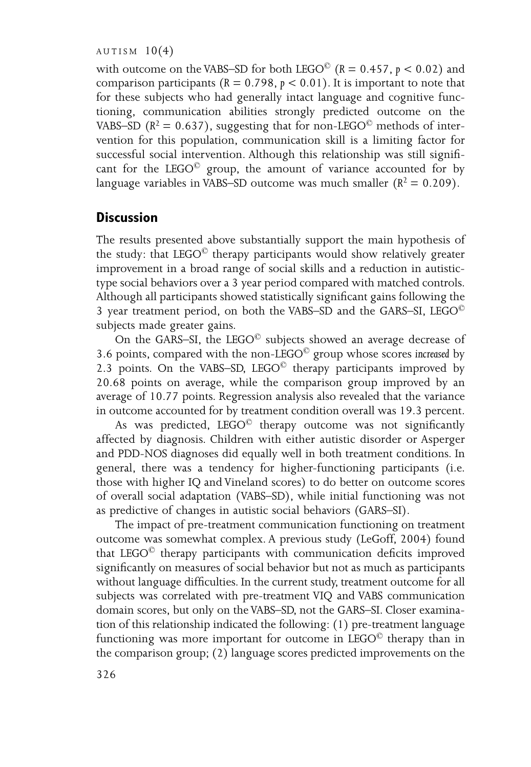with outcome on the VABS–SD for both LEGO<sup>©</sup> ( $R = 0.457$ ,  $p < 0.02$ ) and comparison participants ( $R = 0.798$ ,  $p < 0.01$ ). It is important to note that for these subjects who had generally intact language and cognitive functioning, communication abilities strongly predicted outcome on the VABS–SD ( $R^2 = 0.637$ ), suggesting that for non-LEGO<sup>©</sup> methods of intervention for this population, communication skill is a limiting factor for successful social intervention. Although this relationship was still significant for the LEGO© group, the amount of variance accounted for by language variables in VABS–SD outcome was much smaller  $(R^2 = 0.209)$ .

# **Discussion**

The results presented above substantially support the main hypothesis of the study: that LEGO© therapy participants would show relatively greater improvement in a broad range of social skills and a reduction in autistictype social behaviors over a 3 year period compared with matched controls. Although all participants showed statistically significant gains following the 3 year treatment period, on both the VABS–SD and the GARS–SI, LEGO<sup> $\odot$ </sup> subjects made greater gains.

On the GARS–SI, the LEGO© subjects showed an average decrease of 3.6 points, compared with the non-LEGO© group whose scores *increased* by 2.3 points. On the VABS–SD, LEGO© therapy participants improved by 20.68 points on average, while the comparison group improved by an average of 10.77 points. Regression analysis also revealed that the variance in outcome accounted for by treatment condition overall was 19.3 percent.

As was predicted, LEGO<sup>©</sup> therapy outcome was not significantly affected by diagnosis. Children with either autistic disorder or Asperger and PDD-NOS diagnoses did equally well in both treatment conditions. In general, there was a tendency for higher-functioning participants (i.e. those with higher IQ and Vineland scores) to do better on outcome scores of overall social adaptation (VABS–SD), while initial functioning was not as predictive of changes in autistic social behaviors (GARS–SI).

The impact of pre-treatment communication functioning on treatment outcome was somewhat complex. A previous study (LeGoff, 2004) found that LEGO© therapy participants with communication deficits improved significantly on measures of social behavior but not as much as participants without language difficulties. In the current study, treatment outcome for all subjects was correlated with pre-treatment VIQ and VABS communication domain scores, but only on the VABS–SD, not the GARS–SI. Closer examination of this relationship indicated the following: (1) pre-treatment language functioning was more important for outcome in LEGO© therapy than in the comparison group; (2) language scores predicted improvements on the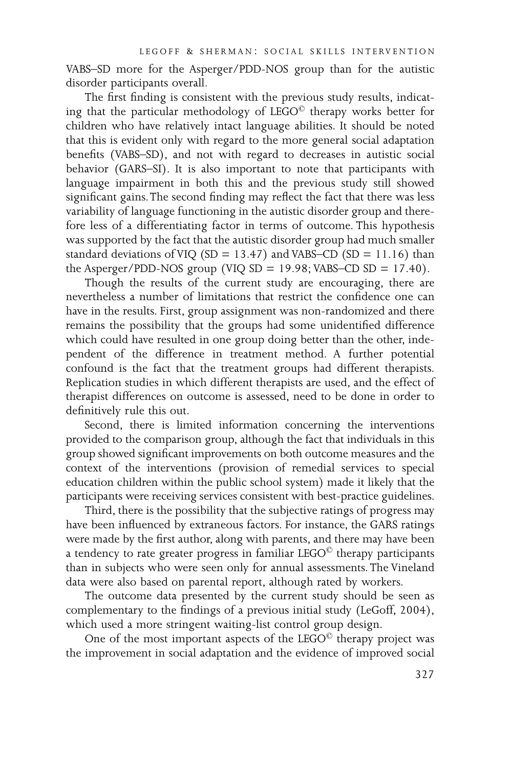VABS–SD more for the Asperger/PDD-NOS group than for the autistic disorder participants overall.

The first finding is consistent with the previous study results, indicating that the particular methodology of LEGO<sup>©</sup> therapy works better for children who have relatively intact language abilities. It should be noted that this is evident only with regard to the more general social adaptation benefits (VABS–SD), and not with regard to decreases in autistic social behavior (GARS–SI). It is also important to note that participants with language impairment in both this and the previous study still showed significant gains.The second finding may reflect the fact that there was less variability of language functioning in the autistic disorder group and therefore less of a differentiating factor in terms of outcome. This hypothesis was supported by the fact that the autistic disorder group had much smaller standard deviations of VIQ (SD = 13.47) and VABS–CD (SD = 11.16) than the Asperger/PDD-NOS group (VIQ  $SD = 19.98$ ; VABS–CD  $SD = 17.40$ ).

Though the results of the current study are encouraging, there are nevertheless a number of limitations that restrict the confidence one can have in the results. First, group assignment was non-randomized and there remains the possibility that the groups had some unidentified difference which could have resulted in one group doing better than the other, independent of the difference in treatment method. A further potential confound is the fact that the treatment groups had different therapists. Replication studies in which different therapists are used, and the effect of therapist differences on outcome is assessed, need to be done in order to definitively rule this out.

Second, there is limited information concerning the interventions provided to the comparison group, although the fact that individuals in this group showed significant improvements on both outcome measures and the context of the interventions (provision of remedial services to special education children within the public school system) made it likely that the participants were receiving services consistent with best-practice guidelines.

Third, there is the possibility that the subjective ratings of progress may have been influenced by extraneous factors. For instance, the GARS ratings were made by the first author, along with parents, and there may have been a tendency to rate greater progress in familiar LEGO© therapy participants than in subjects who were seen only for annual assessments. The Vineland data were also based on parental report, although rated by workers.

The outcome data presented by the current study should be seen as complementary to the findings of a previous initial study (LeGoff, 2004), which used a more stringent waiting-list control group design.

One of the most important aspects of the LEGO $^\copyright$  therapy project was the improvement in social adaptation and the evidence of improved social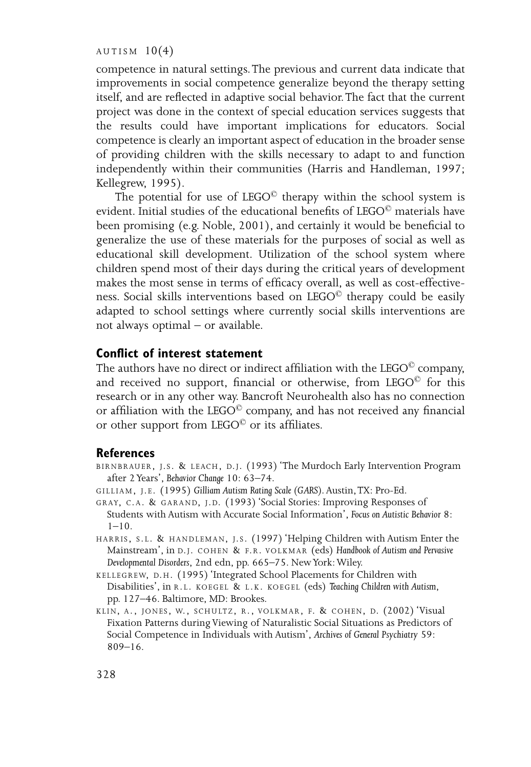competence in natural settings.The previous and current data indicate that improvements in social competence generalize beyond the therapy setting itself, and are reflected in adaptive social behavior.The fact that the current project was done in the context of special education services suggests that the results could have important implications for educators. Social competence is clearly an important aspect of education in the broader sense of providing children with the skills necessary to adapt to and function independently within their communities (Harris and Handleman, 1997; Kellegrew, 1995).

The potential for use of LEGO© therapy within the school system is evident. Initial studies of the educational benefits of LEGO© materials have been promising (e.g. Noble, 2001), and certainly it would be beneficial to generalize the use of these materials for the purposes of social as well as educational skill development. Utilization of the school system where children spend most of their days during the critical years of development makes the most sense in terms of efficacy overall, as well as cost-effectiveness. Social skills interventions based on LEGO© therapy could be easily adapted to school settings where currently social skills interventions are not always optimal – or available.

### **Conflict of interest statement**

The authors have no direct or indirect affiliation with the LEGO<sup>©</sup> company, and received no support, financial or otherwise, from LEGO© for this research or in any other way. Bancroft Neurohealth also has no connection or affiliation with the LEGO<sup> $\circ$ </sup> company, and has not received any financial or other support from LEGO© or its affiliates.

#### **References**

- BIRNBRAUER, J.S. & LEACH, D.J. (1993) 'The Murdoch Early Intervention Program after 2 Years', *Behavior Change* 10: 63–74.
- GILLIAM , J. E . (1995) *Gilliam Autism Rating Scale (GARS)*. Austin,TX: Pro-Ed.
- GRAY, C.A. & GARAND, J.D. (1993) 'Social Stories: Improving Responses of Students with Autism with Accurate Social Information', *Focus on Autistic Behavior* 8:  $1 - 10$ .
- HARRIS, S.L. & HANDLEMAN, J.S. (1997) 'Helping Children with Autism Enter the Mainstream', in D.J. COHEN & F.R. VOLKMAR (eds) *Handbook of Autism and Pervasive Developmental Disorders*, 2nd edn, pp. 665–75. New York:Wiley.
- KELLEGREW, D.H. (1995) 'Integrated School Placements for Children with Disabilities', in R. L . KOEGEL & L .K. KOEGEL (eds) *Teaching Children with Autism*, pp. 127–46. Baltimore, MD: Brookes.
- KLIN, A., JONES, W., SCHULTZ, R., VOLKMAR, F. & COHEN, D. (2002) 'Visual Fixation Patterns during Viewing of Naturalistic Social Situations as Predictors of Social Competence in Individuals with Autism', *Archives of General Psychiatry* 59: 809–16.